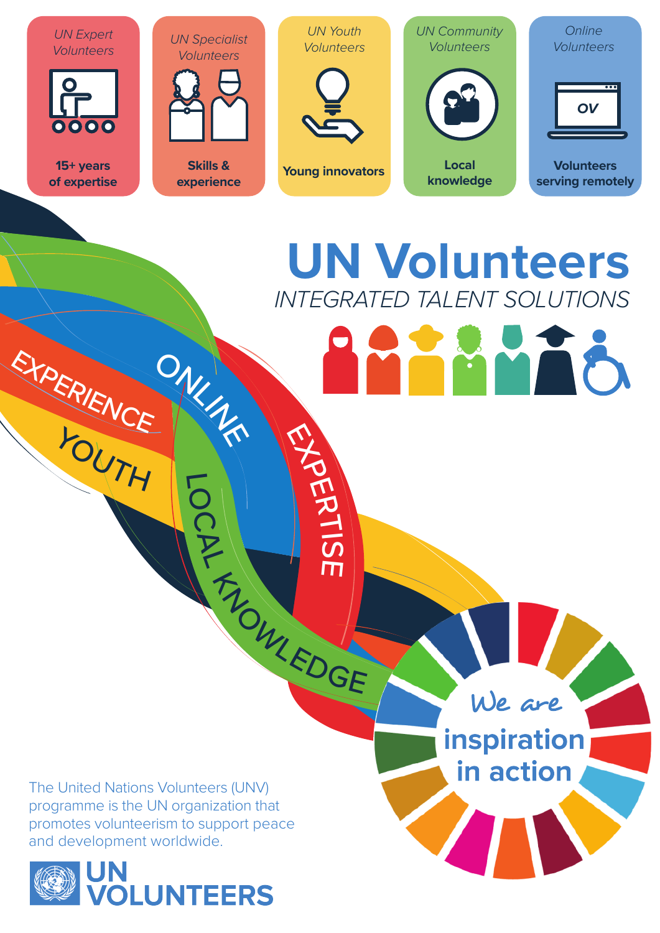

## **UN Volunteers** *INTEGRATED TALENT SOLUTIONS*

The United Nations Volunteers (UNV) programme is the UN organization that promotes volunteerism to support peace and development worldwide.

ONLINE

LOCAL

TA CULLEDGE

ERTIS

 $\overline{\mathsf{L}}$ 

EXPERIENCE

YOUTH



We are inspiration

in action